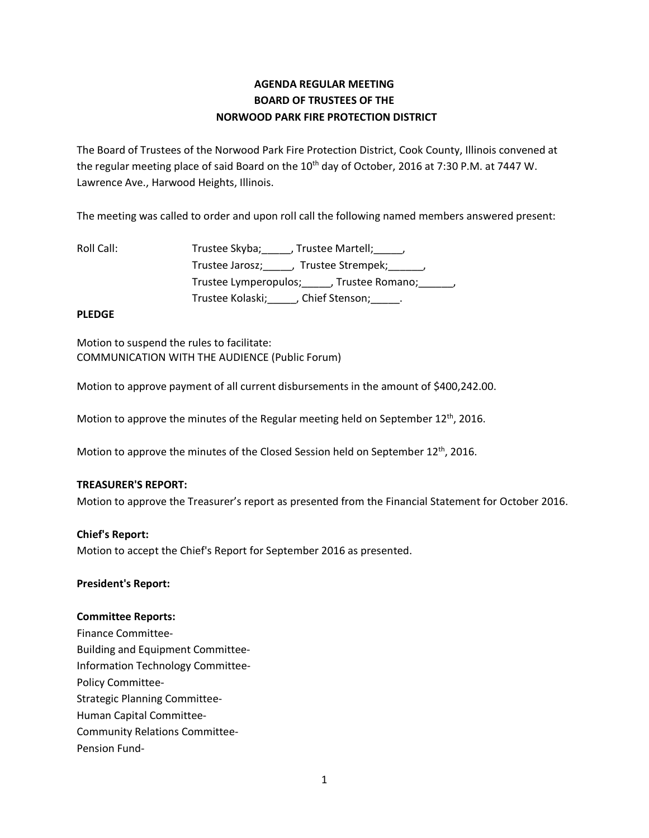# **AGENDA REGULAR MEETING BOARD OF TRUSTEES OF THE NORWOOD PARK FIRE PROTECTION DISTRICT**

The Board of Trustees of the Norwood Park Fire Protection District, Cook County, Illinois convened at the regular meeting place of said Board on the 10<sup>th</sup> day of October, 2016 at 7:30 P.M. at 7447 W. Lawrence Ave., Harwood Heights, Illinois.

The meeting was called to order and upon roll call the following named members answered present:

| Roll Call: | Trustee Skyba; , Trustee Martell; ,                  |
|------------|------------------------------------------------------|
|            | Trustee Jarosz; _____, Trustee Strempek; ______,     |
|            | Trustee Lymperopulos; _____, Trustee Romano; ______, |
|            | Trustee Kolaski; (Chief Stenson; )                   |

# **PLEDGE**

Motion to suspend the rules to facilitate: COMMUNICATION WITH THE AUDIENCE (Public Forum)

Motion to approve payment of all current disbursements in the amount of \$400,242.00.

Motion to approve the minutes of the Regular meeting held on September 12<sup>th</sup>, 2016.

Motion to approve the minutes of the Closed Session held on September  $12^{th}$ , 2016.

# **TREASURER'S REPORT:**

Motion to approve the Treasurer's report as presented from the Financial Statement for October 2016.

## **Chief's Report:**

Motion to accept the Chief's Report for September 2016 as presented.

## **President's Report:**

## **Committee Reports:**

Finance Committee-Building and Equipment Committee-Information Technology Committee-Policy Committee-Strategic Planning Committee-Human Capital Committee-Community Relations Committee-Pension Fund-